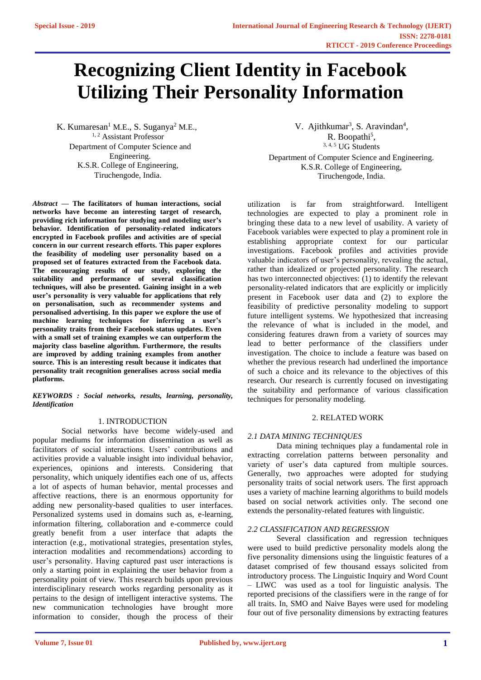# **Recognizing Client Identity in Facebook Utilizing Their Personality Information**

K. Kumaresan<sup>1</sup> M.E., S. Suganya<sup>2</sup> M.E., <sup>1, 2</sup> Assistant Professor Department of Computer Science and Engineering. K.S.R. College of Engineering, Tiruchengode, India.

*Abstract* **— The facilitators of human interactions, social networks have become an interesting target of research, providing rich information for studying and modeling user's behavior. Identification of personality-related indicators encrypted in Facebook profiles and activities are of special concern in our current research efforts. This paper explores the feasibility of modeling user personality based on a proposed set of features extracted from the Facebook data. The encouraging results of our study, exploring the suitability and performance of several classification techniques, will also be presented. Gaining insight in a web user's personality is very valuable for applications that rely on personalisation, such as recommender systems and personalised advertising. In this paper we explore the use of machine learning techniques for inferring a user's personality traits from their Facebook status updates. Even with a small set of training examples we can outperform the majority class baseline algorithm. Furthermore, the results are improved by adding training examples from another source. This is an interesting result because it indicates that personality trait recognition generalises across social media platforms.**

*KEYWORDS : Social networks, results, learning, personality, Identification*

## 1. INTRODUCTION

Social networks have become widely-used and popular mediums for information dissemination as well as facilitators of social interactions. Users' contributions and activities provide a valuable insight into individual behavior, experiences, opinions and interests. Considering that personality, which uniquely identifies each one of us, affects a lot of aspects of human behavior, mental processes and affective reactions, there is an enormous opportunity for adding new personality-based qualities to user interfaces. Personalized systems used in domains such as, e-learning, information filtering, collaboration and e-commerce could greatly benefit from a user interface that adapts the interaction (e.g., motivational strategies, presentation styles, interaction modalities and recommendations) according to user's personality. Having captured past user interactions is only a starting point in explaining the user behavior from a personality point of view. This research builds upon previous interdisciplinary research works regarding personality as it pertains to the design of intelligent interactive systems. The new communication technologies have brought more information to consider, though the process of their

V. Ajithkumar<sup>3</sup>, S. Aravindan<sup>4</sup>, R. Boopathi<sup>5</sup>, 3, 4, 5 UG Students Department of Computer Science and Engineering. K.S.R. College of Engineering, Tiruchengode, India.

utilization is far from straightforward. Intelligent technologies are expected to play a prominent role in bringing these data to a new level of usability. A variety of Facebook variables were expected to play a prominent role in establishing appropriate context for our particular investigations. Facebook profiles and activities provide valuable indicators of user's personality, revealing the actual, rather than idealized or projected personality. The research has two interconnected objectives: (1) to identify the relevant personality-related indicators that are explicitly or implicitly present in Facebook user data and (2) to explore the feasibility of predictive personality modeling to support future intelligent systems. We hypothesized that increasing the relevance of what is included in the model, and considering features drawn from a variety of sources may lead to better performance of the classifiers under investigation. The choice to include a feature was based on whether the previous research had underlined the importance of such a choice and its relevance to the objectives of this research. Our research is currently focused on investigating the suitability and performance of various classification techniques for personality modeling.

## 2. RELATED WORK

## *2.1 DATA MINING TECHNIQUES*

Data mining techniques play a fundamental role in extracting correlation patterns between personality and variety of user's data captured from multiple sources. Generally, two approaches were adopted for studying personality traits of social network users. The first approach uses a variety of machine learning algorithms to build models based on social network activities only. The second one extends the personality-related features with linguistic.

## *2.2 CLASSIFICATION AND REGRESSION*

Several classification and regression techniques were used to build predictive personality models along the five personality dimensions using the linguistic features of a dataset comprised of few thousand essays solicited from introductory process. The Linguistic Inquiry and Word Count – LIWC was used as a tool for linguistic analysis. The reported precisions of the classifiers were in the range of for all traits. In, SMO and Naive Bayes were used for modeling four out of five personality dimensions by extracting features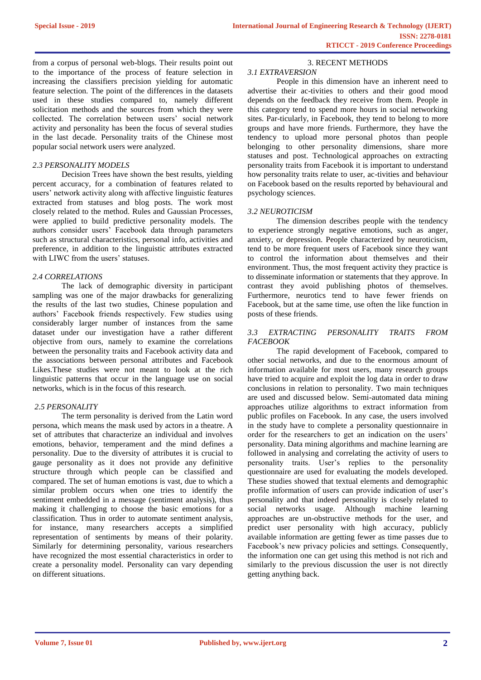from a corpus of personal web-blogs. Their results point out to the importance of the process of feature selection in increasing the classifiers precision yielding for automatic feature selection. The point of the differences in the datasets used in these studies compared to, namely different solicitation methods and the sources from which they were collected. The correlation between users' social network activity and personality has been the focus of several studies in the last decade. Personality traits of the Chinese most popular social network users were analyzed.

#### *2.3 PERSONALITY MODELS*

Decision Trees have shown the best results, yielding percent accuracy, for a combination of features related to users' network activity along with affective linguistic features extracted from statuses and blog posts. The work most closely related to the method. Rules and Gaussian Processes, were applied to build predictive personality models. The authors consider users' Facebook data through parameters such as structural characteristics, personal info, activities and preference, in addition to the linguistic attributes extracted with LIWC from the users' statuses.

#### *2.4 CORRELATIONS*

The lack of demographic diversity in participant sampling was one of the major drawbacks for generalizing the results of the last two studies, Chinese population and authors' Facebook friends respectively. Few studies using considerably larger number of instances from the same dataset under our investigation have a rather different objective from ours, namely to examine the correlations between the personality traits and Facebook activity data and the associations between personal attributes and Facebook Likes.These studies were not meant to look at the rich linguistic patterns that occur in the language use on social networks, which is in the focus of this research.

## *2.5 PERSONALITY*

The term personality is derived from the Latin word persona, which means the mask used by actors in a theatre. A set of attributes that characterize an individual and involves emotions, behavior, temperament and the mind defines a personality. Due to the diversity of attributes it is crucial to gauge personality as it does not provide any definitive structure through which people can be classified and compared. The set of human emotions is vast, due to which a similar problem occurs when one tries to identify the sentiment embedded in a message (sentiment analysis), thus making it challenging to choose the basic emotions for a classification. Thus in order to automate sentiment analysis, for instance, many researchers accepts a simplified representation of sentiments by means of their polarity. Similarly for determining personality, various researchers have recognized the most essential characteristics in order to create a personality model. Personality can vary depending on different situations.

## 3. RECENT METHODS

## *3.1 EXTRAVERSION*

People in this dimension have an inherent need to advertise their ac-tivities to others and their good mood depends on the feedback they receive from them. People in this category tend to spend more hours in social networking sites. Par-ticularly, in Facebook, they tend to belong to more groups and have more friends. Furthermore, they have the tendency to upload more personal photos than people belonging to other personality dimensions, share more statuses and post. Technological approaches on extracting personality traits from Facebook it is important to understand how personality traits relate to user, ac-tivities and behaviour on Facebook based on the results reported by behavioural and psychology sciences.

#### *3.2 NEUROTICISM*

The dimension describes people with the tendency to experience strongly negative emotions, such as anger, anxiety, or depression. People characterized by neuroticism, tend to be more frequent users of Facebook since they want to control the information about themselves and their environment. Thus, the most frequent activity they practice is to disseminate information or statements that they approve. In contrast they avoid publishing photos of themselves. Furthermore, neurotics tend to have fewer friends on Facebook, but at the same time, use often the like function in posts of these friends.

## *3.3 EXTRACTING PERSONALITY TRAITS FROM FACEBOOK*

The rapid development of Facebook, compared to other social networks, and due to the enormous amount of information available for most users, many research groups have tried to acquire and exploit the log data in order to draw conclusions in relation to personality. Two main techniques are used and discussed below. Semi-automated data mining approaches utilize algorithms to extract information from public profiles on Facebook. In any case, the users involved in the study have to complete a personality questionnaire in order for the researchers to get an indication on the users' personality. Data mining algorithms and machine learning are followed in analysing and correlating the activity of users to personality traits. User's replies to the personality questionnaire are used for evaluating the models developed. These studies showed that textual elements and demographic profile information of users can provide indication of user's personality and that indeed personality is closely related to social networks usage. Although machine learning approaches are un-obstructive methods for the user, and predict user personality with high accuracy, publicly available information are getting fewer as time passes due to Facebook's new privacy policies and settings. Consequently, the information one can get using this method is not rich and similarly to the previous discussion the user is not directly getting anything back.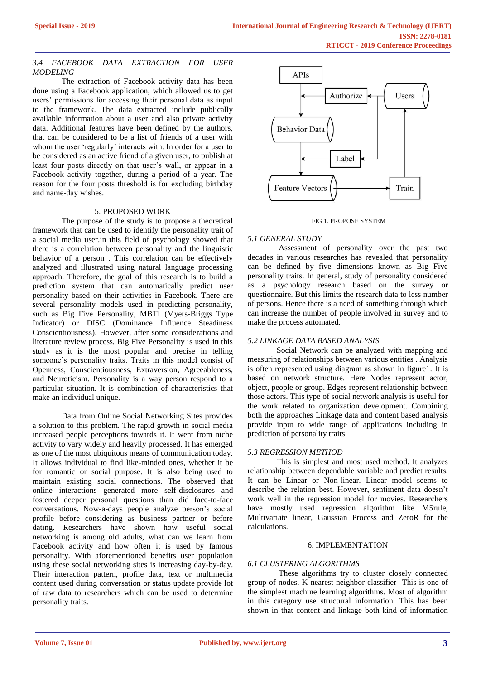## *3.4 FACEBOOK DATA EXTRACTION FOR USER MODELING*

The extraction of Facebook activity data has been done using a Facebook application, which allowed us to get users' permissions for accessing their personal data as input to the framework. The data extracted include publically available information about a user and also private activity data. Additional features have been defined by the authors, that can be considered to be a list of friends of a user with whom the user 'regularly' interacts with. In order for a user to be considered as an active friend of a given user, to publish at least four posts directly on that user's wall, or appear in a Facebook activity together, during a period of a year. The reason for the four posts threshold is for excluding birthday and name-day wishes.

## 5. PROPOSED WORK

The purpose of the study is to propose a theoretical framework that can be used to identify the personality trait of a social media user.in this field of psychology showed that there is a correlation between personality and the linguistic behavior of a person . This correlation can be effectively analyzed and illustrated using natural language processing approach. Therefore, the goal of this research is to build a prediction system that can automatically predict user personality based on their activities in Facebook. There are several personality models used in predicting personality, such as Big Five Personality, MBTI (Myers-Briggs Type Indicator) or DISC (Dominance Influence Steadiness Conscientiousness). However, after some considerations and literature review process, Big Five Personality is used in this study as it is the most popular and precise in telling someone's personality traits. Traits in this model consist of Openness, Conscientiousness, Extraversion, Agreeableness, and Neuroticism. Personality is a way person respond to a particular situation. It is combination of characteristics that make an individual unique.

Data from Online Social Networking Sites provides a solution to this problem. The rapid growth in social media increased people perceptions towards it. It went from niche activity to vary widely and heavily processed. It has emerged as one of the most ubiquitous means of communication today. It allows individual to find like-minded ones, whether it be for romantic or social purpose. It is also being used to maintain existing social connections. The observed that online interactions generated more self-disclosures and fostered deeper personal questions than did face-to-face conversations. Now-a-days people analyze person's social profile before considering as business partner or before dating. Researchers have shown how useful social networking is among old adults, what can we learn from Facebook activity and how often it is used by famous personality. With aforementioned benefits user population using these social networking sites is increasing day-by-day. Their interaction pattern, profile data, text or multimedia content used during conversation or status update provide lot of raw data to researchers which can be used to determine personality traits.



#### FIG 1. PROPOSE SYSTEM

## *5.1 GENERAL STUDY*

Assessment of personality over the past two decades in various researches has revealed that personality can be defined by five dimensions known as Big Five personality traits. In general, study of personality considered as a psychology research based on the survey or questionnaire. But this limits the research data to less number of persons. Hence there is a need of something through which can increase the number of people involved in survey and to make the process automated.

## *5.2 LINKAGE DATA BASED ANALYSIS*

Social Network can be analyzed with mapping and measuring of relationships between various entities . Analysis is often represented using diagram as shown in figure1. It is based on network structure. Here Nodes represent actor, object, people or group. Edges represent relationship between those actors. This type of social network analysis is useful for the work related to organization development. Combining both the approaches Linkage data and content based analysis provide input to wide range of applications including in prediction of personality traits.

## *5.3 REGRESSION METHOD*

This is simplest and most used method. It analyzes relationship between dependable variable and predict results. It can be Linear or Non-linear. Linear model seems to describe the relation best. However, sentiment data doesn't work well in the regression model for movies. Researchers have mostly used regression algorithm like M5rule, Multivariate linear, Gaussian Process and ZeroR for the calculations.

## 6. IMPLEMENTATION

## *6.1 CLUSTERING ALGORITHMS*

These algorithms try to cluster closely connected group of nodes. K-nearest neighbor classifier- This is one of the simplest machine learning algorithms. Most of algorithm in this category use structural information. This has been shown in that content and linkage both kind of information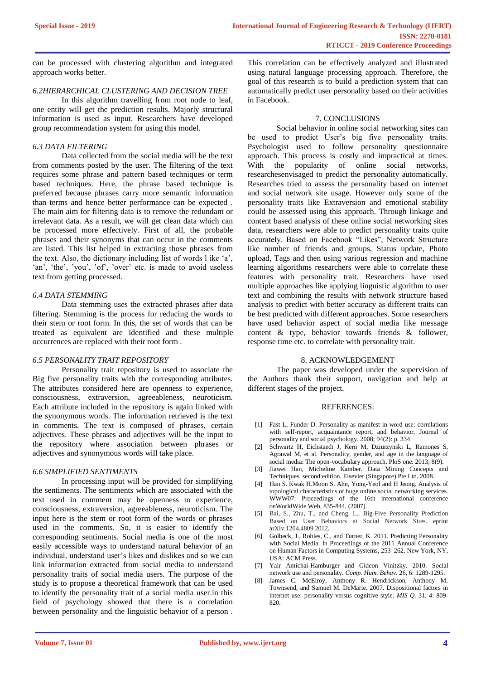can be processed with clustering algorithm and integrated approach works better.

#### *6.2HIERARCHICAL CLUSTERING AND DECISION TREE*

In this algorithm travelling from root node to leaf, one entity will get the prediction results. Majorly structural information is used as input. Researchers have developed group recommendation system for using this model.

#### *6.3 DATA FILTERING*

Data collected from the social media will be the text from comments posted by the user. The filtering of the text requires some phrase and pattern based techniques or term based techniques. Here, the phrase based technique is preferred because phrases carry more semantic information than terms and hence better performance can be expected . The main aim for filtering data is to remove the redundant or irrelevant data. As a result, we will get clean data which can be processed more effectively. First of all, the probable phrases and their synonyms that can occur in the comments are listed. This list helped in extracting those phrases from the text. Also, the dictionary including list of words l ike 'a', 'an', 'the', 'you', 'of', 'over' etc. is made to avoid useless text from getting processed.

## *6.4 DATA STEMMING*

Data stemming uses the extracted phrases after data filtering. Stemming is the process for reducing the words to their stem or root form. In this, the set of words that can be treated as equivalent are identified and these multiple occurrences are replaced with their root form .

#### *6.5 PERSONALITY TRAIT REPOSITORY*

Personality trait repository is used to associate the Big five personality traits with the corresponding attributes. The attributes considered here are openness to experience, consciousness, extraversion, agreeableness, neuroticism. Each attribute included in the repository is again linked with the synonymous words. The information retrieved is the text in comments. The text is composed of phrases, certain adjectives. These phrases and adjectives will be the input to the repository where association between phrases or adjectives and synonymous words will take place.

## *6.6 SIMPLIFIED SENTIMENTS*

In processing input will be provided for simplifying the sentiments. The sentiments which are associated with the text used in comment may be openness to experience, consciousness, extraversion, agreeableness, neuroticism. The input here is the stem or root form of the words or phrases used in the comments. So, it is easier to identify the corresponding sentiments. Social media is one of the most easily accessible ways to understand natural behavior of an individual, understand user's likes and dislikes and so we can link information extracted from social media to understand personality traits of social media users. The purpose of the study is to propose a theoretical framework that can be used to identify the personality trait of a social media user.in this field of psychology showed that there is a correlation between personality and the linguistic behavior of a person .

This correlation can be effectively analyzed and illustrated using natural language processing approach. Therefore, the goal of this research is to build a prediction system that can automatically predict user personality based on their activities in Facebook.

## 7. CONCLUSIONS

Social behavior in online social networking sites can be used to predict User's big five personality traits. Psychologist used to follow personality questionnaire approach. This process is costly and impractical at times. With the popularity of online social networks, researchesenvisaged to predict the personality automatically. Researches tried to assess the personality based on internet and social network site usage. However only some of the personality traits like Extraversion and emotional stability could be assessed using this approach. Through linkage and content based analysis of these online social networking sites data, researchers were able to predict personality traits quite accurately. Based on Facebook "Likes", Network Structure like number of friends and groups, Status update, Photo upload, Tags and then using various regression and machine learning algorithms researchers were able to correlate these features with personality trait. Researchers have used multiple approaches like applying linguistic algorithm to user text and combining the results with network structure based analysis to predict with better accuracy as different traits can be best predicted with different approaches. Some researchers have used behavior aspect of social media like message content & type, behavior towards friends & follower, response time etc. to correlate with personality trait.

#### 8. ACKNOWLEDGEMENT

The paper was developed under the supervision of the Authors thank their support, navigation and help at different stages of the project.

#### REFERENCES:

- [1] Fast L, Funder D. Personality as manifest in word use: correlations with self-report, acquaintance report, and behavior. Journal of personality and social psychology. 2008; 94(2): p. 334
- [2] Schwartz H, Eichstaedt J, Kern M, Dziurzynski L, Ramones S, Agrawal M, et al. Personality, gender, and age in the language of social media: The open-vocabulary approach. PloS one. 2013; 8(9).
- Jiawei Han, Micheline Kamber. Data Mining Concepts and Techniques, second edition. Elsevier (Singapore) Pte Ltd. 2008.
- [4] Han S. Kwak H.Moon S. Ahn, Yong-Yeol and H Jeong. Analysis of topological characteristics of huge online social networking services. WWW07: Proceedings of the 16th international conference onWorldWide Web, 835-844, (2007).
- [5] Bai, S., Zhu, T., and Cheng, L.. Big-Five Personality Prediction Based on User Behaviors at Social Network Sites. eprint arXiv:1204.4809 2012.
- [6] Golbeck, J., Robles, C., and Turner, K. 2011. Predicting Personality with Social Media. In Proceedings of the 2011 Annual Conference on Human Factors in Computing Systems, 253–262. New York, NY, USA: ACM Press.
- [7] Yair Amichai-Hamburger and Gideon Vinitzky. 2010. Social network use and personality. *Comp. Hum. Behav.* 26, 6: 1289-1295.
- James C. McElroy, Anthony R. Hendrickson, Anthony M. Townsend, and Samuel M. DeMarie. 2007. Dispositional factors in internet use: personality versus cognitive style. *MIS Q.* 31, 4: 809- 820.